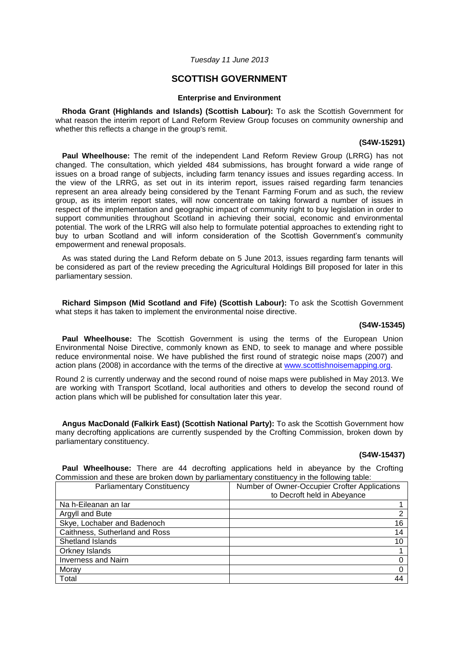#### *Tuesday 11 June 2013*

# **SCOTTISH GOVERNMENT**

# **Enterprise and Environment**

**Rhoda Grant (Highlands and Islands) (Scottish Labour):** To ask the Scottish Government for what reason the interim report of Land Reform Review Group focuses on community ownership and whether this reflects a change in the group's remit.

# **(S4W-15291)**

**Paul Wheelhouse:** The remit of the independent Land Reform Review Group (LRRG) has not changed. The consultation, which yielded 484 submissions, has brought forward a wide range of issues on a broad range of subjects, including farm tenancy issues and issues regarding access. In the view of the LRRG, as set out in its interim report, issues raised regarding farm tenancies represent an area already being considered by the Tenant Farming Forum and as such, the review group, as its interim report states, will now concentrate on taking forward a number of issues in respect of the implementation and geographic impact of community right to buy legislation in order to support communities throughout Scotland in achieving their social, economic and environmental potential. The work of the LRRG will also help to formulate potential approaches to extending right to buy to urban Scotland and will inform consideration of the Scottish Government's community empowerment and renewal proposals.

As was stated during the Land Reform debate on 5 June 2013, issues regarding farm tenants will be considered as part of the review preceding the Agricultural Holdings Bill proposed for later in this parliamentary session.

**Richard Simpson (Mid Scotland and Fife) (Scottish Labour):** To ask the Scottish Government what steps it has taken to implement the environmental noise directive.

# **(S4W-15345)**

**Paul Wheelhouse:** The Scottish Government is using the terms of the European Union Environmental Noise Directive, commonly known as END, to seek to manage and where possible reduce environmental noise. We have published the first round of strategic noise maps (2007) and action plans (2008) in accordance with the terms of the directive at [www.scottishnoisemapping.org.](http://www.scottishnoisemapping.org/)

Round 2 is currently underway and the second round of noise maps were published in May 2013. We are working with Transport Scotland, local authorities and others to develop the second round of action plans which will be published for consultation later this year.

**Angus MacDonald (Falkirk East) (Scottish National Party):** To ask the Scottish Government how many decrofting applications are currently suspended by the Crofting Commission, broken down by parliamentary constituency.

#### **(S4W-15437)**

**Paul Wheelhouse:** There are 44 decrofting applications held in abeyance by the Crofting Commission and these are broken down by parliamentary constituency in the following table:

| <b>Parliamentary Constituency</b> | Number of Owner-Occupier Crofter Applications<br>to Decroft held in Abeyance |
|-----------------------------------|------------------------------------------------------------------------------|
| Na h-Eileanan an Iar              |                                                                              |
| Argyll and Bute                   | ົ                                                                            |
| Skye, Lochaber and Badenoch       | 16                                                                           |
| Caithness, Sutherland and Ross    | 14                                                                           |
| Shetland Islands                  | 1 C                                                                          |
| Orkney Islands                    |                                                                              |
| <b>Inverness and Nairn</b>        |                                                                              |
| Moray                             |                                                                              |
| Total                             |                                                                              |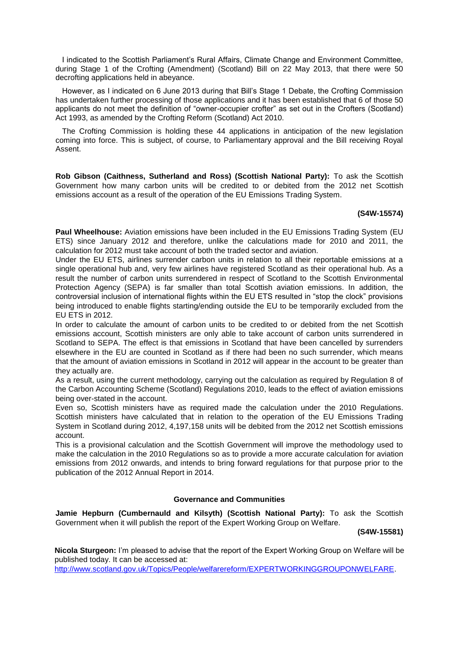I indicated to the Scottish Parliament's Rural Affairs, Climate Change and Environment Committee, during Stage 1 of the Crofting (Amendment) (Scotland) Bill on 22 May 2013, that there were 50 decrofting applications held in abeyance.

However, as I indicated on 6 June 2013 during that Bill's Stage 1 Debate, the Crofting Commission has undertaken further processing of those applications and it has been established that 6 of those 50 applicants do not meet the definition of "owner-occupier crofter" as set out in the Crofters (Scotland) Act 1993, as amended by the Crofting Reform (Scotland) Act 2010.

The Crofting Commission is holding these 44 applications in anticipation of the new legislation coming into force. This is subject, of course, to Parliamentary approval and the Bill receiving Royal Assent.

**Rob Gibson (Caithness, Sutherland and Ross) (Scottish National Party):** To ask the Scottish Government how many carbon units will be credited to or debited from the 2012 net Scottish emissions account as a result of the operation of the EU Emissions Trading System.

# **(S4W-15574)**

**Paul Wheelhouse:** Aviation emissions have been included in the EU Emissions Trading System (EU ETS) since January 2012 and therefore, unlike the calculations made for 2010 and 2011, the calculation for 2012 must take account of both the traded sector and aviation.

Under the EU ETS, airlines surrender carbon units in relation to all their reportable emissions at a single operational hub and, very few airlines have registered Scotland as their operational hub. As a result the number of carbon units surrendered in respect of Scotland to the Scottish Environmental Protection Agency (SEPA) is far smaller than total Scottish aviation emissions. In addition, the controversial inclusion of international flights within the EU ETS resulted in "stop the clock" provisions being introduced to enable flights starting/ending outside the EU to be temporarily excluded from the EU ETS in 2012.

In order to calculate the amount of carbon units to be credited to or debited from the net Scottish emissions account, Scottish ministers are only able to take account of carbon units surrendered in Scotland to SEPA. The effect is that emissions in Scotland that have been cancelled by surrenders elsewhere in the EU are counted in Scotland as if there had been no such surrender, which means that the amount of aviation emissions in Scotland in 2012 will appear in the account to be greater than they actually are.

As a result, using the current methodology, carrying out the calculation as required by Regulation 8 of the Carbon Accounting Scheme (Scotland) Regulations 2010, leads to the effect of aviation emissions being over-stated in the account.

Even so, Scottish ministers have as required made the calculation under the 2010 Regulations. Scottish ministers have calculated that in relation to the operation of the EU Emissions Trading System in Scotland during 2012, 4,197,158 units will be debited from the 2012 net Scottish emissions account.

This is a provisional calculation and the Scottish Government will improve the methodology used to make the calculation in the 2010 Regulations so as to provide a more accurate calculation for aviation emissions from 2012 onwards, and intends to bring forward regulations for that purpose prior to the publication of the 2012 Annual Report in 2014.

# **Governance and Communities**

**Jamie Hepburn (Cumbernauld and Kilsyth) (Scottish National Party):** To ask the Scottish Government when it will publish the report of the Expert Working Group on Welfare.

**(S4W-15581)**

**Nicola Sturgeon:** I'm pleased to advise that the report of the Expert Working Group on Welfare will be published today. It can be accessed at:

[http://www.scotland.gov.uk/Topics/People/welfarereform/EXPERTWORKINGGROUPONWELFARE.](http://www.scotland.gov.uk/Topics/People/welfarereform/EXPERTWORKINGGROUPONWELFARE)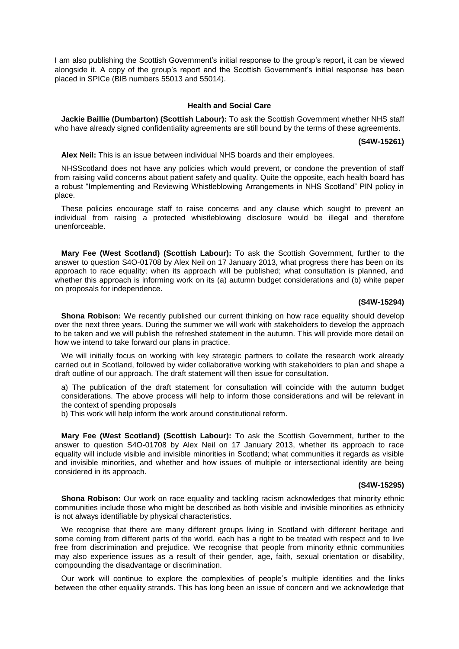I am also publishing the Scottish Government's initial response to the group's report, it can be viewed alongside it. A copy of the group's report and the Scottish Government's initial response has been placed in SPICe (BIB numbers 55013 and 55014).

#### **Health and Social Care**

**Jackie Baillie (Dumbarton) (Scottish Labour):** To ask the Scottish Government whether NHS staff who have already signed confidentiality agreements are still bound by the terms of these agreements.

**(S4W-15261)**

**Alex Neil:** This is an issue between individual NHS boards and their employees.

NHSScotland does not have any policies which would prevent, or condone the prevention of staff from raising valid concerns about patient safety and quality. Quite the opposite, each health board has a robust "Implementing and Reviewing Whistleblowing Arrangements in NHS Scotland" PIN policy in place.

These policies encourage staff to raise concerns and any clause which sought to prevent an individual from raising a protected whistleblowing disclosure would be illegal and therefore unenforceable.

**Mary Fee (West Scotland) (Scottish Labour):** To ask the Scottish Government, further to the answer to question S4O-01708 by Alex Neil on 17 January 2013, what progress there has been on its approach to race equality; when its approach will be published; what consultation is planned, and whether this approach is informing work on its (a) autumn budget considerations and (b) white paper on proposals for independence.

#### **(S4W-15294)**

**Shona Robison:** We recently published our current thinking on how race equality should develop over the next three years. During the summer we will work with stakeholders to develop the approach to be taken and we will publish the refreshed statement in the autumn. This will provide more detail on how we intend to take forward our plans in practice.

We will initially focus on working with key strategic partners to collate the research work already carried out in Scotland, followed by wider collaborative working with stakeholders to plan and shape a draft outline of our approach. The draft statement will then issue for consultation.

a) The publication of the draft statement for consultation will coincide with the autumn budget considerations. The above process will help to inform those considerations and will be relevant in the context of spending proposals

b) This work will help inform the work around constitutional reform.

**Mary Fee (West Scotland) (Scottish Labour):** To ask the Scottish Government, further to the answer to question S4O-01708 by Alex Neil on 17 January 2013, whether its approach to race equality will include visible and invisible minorities in Scotland; what communities it regards as visible and invisible minorities, and whether and how issues of multiple or intersectional identity are being considered in its approach.

# **(S4W-15295)**

**Shona Robison:** Our work on race equality and tackling racism acknowledges that minority ethnic communities include those who might be described as both visible and invisible minorities as ethnicity is not always identifiable by physical characteristics.

We recognise that there are many different groups living in Scotland with different heritage and some coming from different parts of the world, each has a right to be treated with respect and to live free from discrimination and prejudice. We recognise that people from minority ethnic communities may also experience issues as a result of their gender, age, faith, sexual orientation or disability, compounding the disadvantage or discrimination.

Our work will continue to explore the complexities of people's multiple identities and the links between the other equality strands. This has long been an issue of concern and we acknowledge that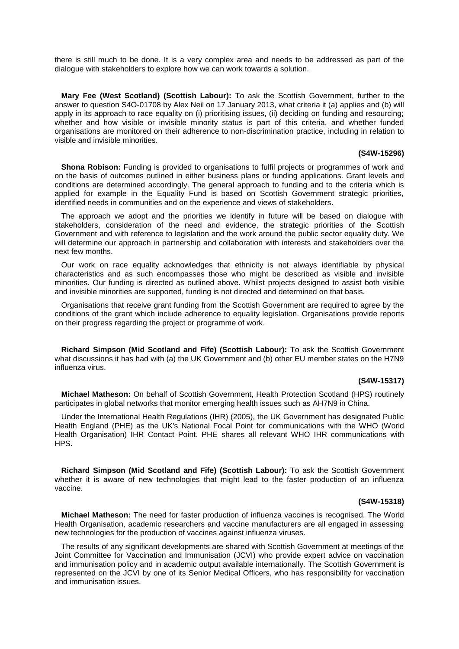there is still much to be done. It is a very complex area and needs to be addressed as part of the dialogue with stakeholders to explore how we can work towards a solution.

**Mary Fee (West Scotland) (Scottish Labour):** To ask the Scottish Government, further to the answer to question S4O-01708 by Alex Neil on 17 January 2013, what criteria it (a) applies and (b) will apply in its approach to race equality on (i) prioritising issues, (ii) deciding on funding and resourcing; whether and how visible or invisible minority status is part of this criteria, and whether funded organisations are monitored on their adherence to non-discrimination practice, including in relation to visible and invisible minorities.

# **(S4W-15296)**

**Shona Robison:** Funding is provided to organisations to fulfil projects or programmes of work and on the basis of outcomes outlined in either business plans or funding applications. Grant levels and conditions are determined accordingly. The general approach to funding and to the criteria which is applied for example in the Equality Fund is based on Scottish Government strategic priorities, identified needs in communities and on the experience and views of stakeholders.

The approach we adopt and the priorities we identify in future will be based on dialogue with stakeholders, consideration of the need and evidence, the strategic priorities of the Scottish Government and with reference to legislation and the work around the public sector equality duty. We will determine our approach in partnership and collaboration with interests and stakeholders over the next few months.

Our work on race equality acknowledges that ethnicity is not always identifiable by physical characteristics and as such encompasses those who might be described as visible and invisible minorities. Our funding is directed as outlined above. Whilst projects designed to assist both visible and invisible minorities are supported, funding is not directed and determined on that basis.

Organisations that receive grant funding from the Scottish Government are required to agree by the conditions of the grant which include adherence to equality legislation. Organisations provide reports on their progress regarding the project or programme of work.

**Richard Simpson (Mid Scotland and Fife) (Scottish Labour):** To ask the Scottish Government what discussions it has had with (a) the UK Government and (b) other EU member states on the H7N9 influenza virus.

# **(S4W-15317)**

**Michael Matheson:** On behalf of Scottish Government, Health Protection Scotland (HPS) routinely participates in global networks that monitor emerging health issues such as AH7N9 in China.

Under the International Health Regulations (IHR) (2005), the UK Government has designated Public Health England (PHE) as the UK's National Focal Point for communications with the WHO (World Health Organisation) IHR Contact Point. PHE shares all relevant WHO IHR communications with HPS.

**Richard Simpson (Mid Scotland and Fife) (Scottish Labour):** To ask the Scottish Government whether it is aware of new technologies that might lead to the faster production of an influenza vaccine.

# **(S4W-15318)**

**Michael Matheson:** The need for faster production of influenza vaccines is recognised. The World Health Organisation, academic researchers and vaccine manufacturers are all engaged in assessing new technologies for the production of vaccines against influenza viruses.

The results of any significant developments are shared with Scottish Government at meetings of the Joint Committee for Vaccination and Immunisation (JCVI) who provide expert advice on vaccination and immunisation policy and in academic output available internationally. The Scottish Government is represented on the JCVI by one of its Senior Medical Officers, who has responsibility for vaccination and immunisation issues.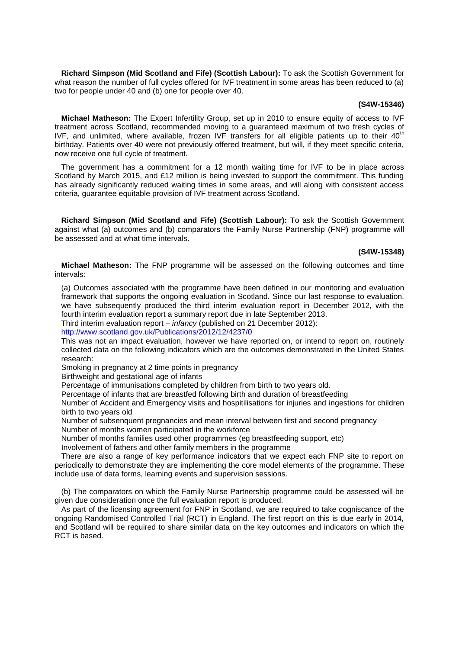**Richard Simpson (Mid Scotland and Fife) (Scottish Labour):** To ask the Scottish Government for what reason the number of full cycles offered for IVF treatment in some areas has been reduced to (a) two for people under 40 and (b) one for people over 40.

### **(S4W-15346)**

**Michael Matheson:** The Expert Infertility Group, set up in 2010 to ensure equity of access to IVF treatment across Scotland, recommended moving to a guaranteed maximum of two fresh cycles of IVF, and unlimited, where available, frozen IVF transfers for all eligible patients up to their 40<sup>th</sup> birthday. Patients over 40 were not previously offered treatment, but will, if they meet specific criteria, now receive one full cycle of treatment.

The government has a commitment for a 12 month waiting time for IVF to be in place across Scotland by March 2015, and £12 million is being invested to support the commitment. This funding has already significantly reduced waiting times in some areas, and will along with consistent access criteria, guarantee equitable provision of IVF treatment across Scotland.

**Richard Simpson (Mid Scotland and Fife) (Scottish Labour):** To ask the Scottish Government against what (a) outcomes and (b) comparators the Family Nurse Partnership (FNP) programme will be assessed and at what time intervals.

# **(S4W-15348)**

**Michael Matheson:** The FNP programme will be assessed on the following outcomes and time intervals:

(a) Outcomes associated with the programme have been defined in our monitoring and evaluation framework that supports the ongoing evaluation in Scotland. Since our last response to evaluation, we have subsequently produced the third interim evaluation report in December 2012, with the fourth interim evaluation report a summary report due in late September 2013.

Third interim evaluation report – *infancy* (published on 21 December 2012):

<http://www.scotland.gov.uk/Publications/2012/12/4237/0>

This was not an impact evaluation, however we have reported on, or intend to report on, routinely collected data on the following indicators which are the outcomes demonstrated in the United States research:

Smoking in pregnancy at 2 time points in pregnancy

Birthweight and gestational age of infants

Percentage of immunisations completed by children from birth to two years old.

Percentage of infants that are breastfed following birth and duration of breastfeeding Number of Accident and Emergency visits and hospitilisations for injuries and ingestions for children birth to two years old

Number of subsenquent pregnancies and mean interval between first and second pregnancy Number of months women participated in the workforce

Number of months families used other programmes (eg breastfeeding support, etc)

Involvement of fathers and other family members in the programme

There are also a range of key performance indicators that we expect each FNP site to report on periodically to demonstrate they are implementing the core model elements of the programme. These include use of data forms, learning events and supervision sessions.

(b) The comparators on which the Family Nurse Partnership programme could be assessed will be given due consideration once the full evaluation report is produced.

As part of the licensing agreement for FNP in Scotland, we are required to take cogniscance of the ongoing Randomised Controlled Trial (RCT) in England. The first report on this is due early in 2014, and Scotland will be required to share similar data on the key outcomes and indicators on which the RCT is based.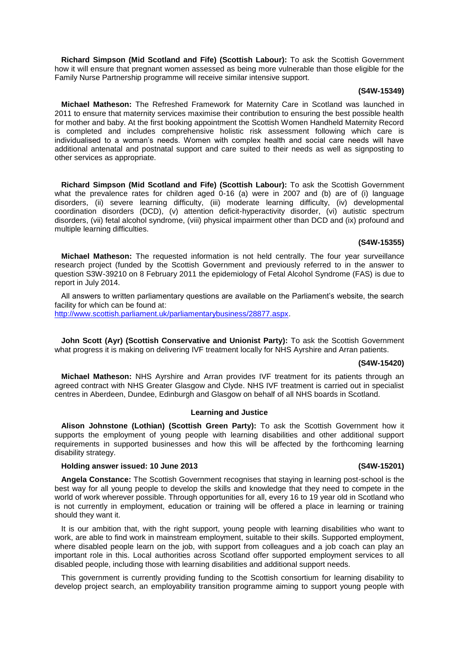**Richard Simpson (Mid Scotland and Fife) (Scottish Labour):** To ask the Scottish Government how it will ensure that pregnant women assessed as being more vulnerable than those eligible for the Family Nurse Partnership programme will receive similar intensive support.

# **(S4W-15349)**

**Michael Matheson:** The Refreshed Framework for Maternity Care in Scotland was launched in 2011 to ensure that maternity services maximise their contribution to ensuring the best possible health for mother and baby. At the first booking appointment the Scottish Women Handheld Maternity Record is completed and includes comprehensive holistic risk assessment following which care is individualised to a woman's needs. Women with complex health and social care needs will have additional antenatal and postnatal support and care suited to their needs as well as signposting to other services as appropriate.

**Richard Simpson (Mid Scotland and Fife) (Scottish Labour):** To ask the Scottish Government what the prevalence rates for children aged 0-16 (a) were in 2007 and (b) are of (i) language disorders, (ii) severe learning difficulty, (iii) moderate learning difficulty, (iv) developmental coordination disorders (DCD), (v) attention deficit-hyperactivity disorder, (vi) autistic spectrum disorders, (vii) fetal alcohol syndrome, (viii) physical impairment other than DCD and (ix) profound and multiple learning difficulties.

# **(S4W-15355)**

**Michael Matheson:** The requested information is not held centrally. The four year surveillance research project (funded by the Scottish Government and previously referred to in the answer to question S3W-39210 on 8 February 2011 the epidemiology of Fetal Alcohol Syndrome (FAS) is due to report in July 2014.

All answers to written parliamentary questions are available on the Parliament's website, the search facility for which can be found at:

[http://www.scottish.parliament.uk/parliamentarybusiness/28877.aspx.](http://www.scottish.parliament.uk/parliamentarybusiness/28877.aspx)

**John Scott (Ayr) (Scottish Conservative and Unionist Party):** To ask the Scottish Government what progress it is making on delivering IVF treatment locally for NHS Ayrshire and Arran patients.

#### **(S4W-15420)**

**Michael Matheson:** NHS Ayrshire and Arran provides IVF treatment for its patients through an agreed contract with NHS Greater Glasgow and Clyde. NHS IVF treatment is carried out in specialist centres in Aberdeen, Dundee, Edinburgh and Glasgow on behalf of all NHS boards in Scotland.

#### **Learning and Justice**

**Alison Johnstone (Lothian) (Scottish Green Party):** To ask the Scottish Government how it supports the employment of young people with learning disabilities and other additional support requirements in supported businesses and how this will be affected by the forthcoming learning disability strategy.

# **Holding answer issued: 10 June 2013 (S4W-15201)**

**Angela Constance:** The Scottish Government recognises that staying in learning post-school is the best way for all young people to develop the skills and knowledge that they need to compete in the world of work wherever possible. Through opportunities for all, every 16 to 19 year old in Scotland who is not currently in employment, education or training will be offered a place in learning or training should they want it.

It is our ambition that, with the right support, young people with learning disabilities who want to work, are able to find work in mainstream employment, suitable to their skills. Supported employment, where disabled people learn on the job, with support from colleagues and a job coach can play an important role in this. Local authorities across Scotland offer supported employment services to all disabled people, including those with learning disabilities and additional support needs.

This government is currently providing funding to the Scottish consortium for learning disability to develop project search, an employability transition programme aiming to support young people with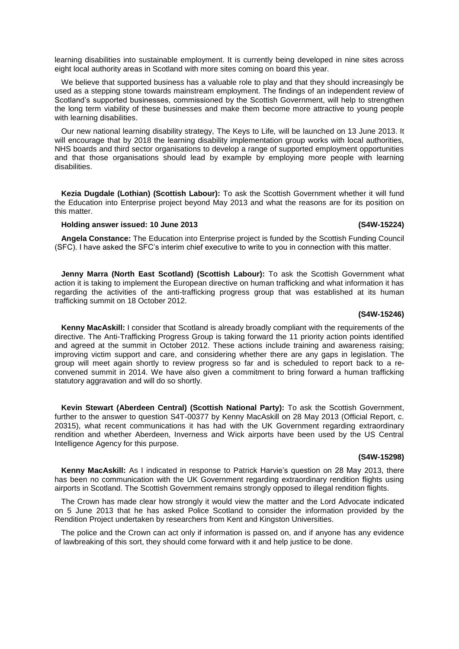learning disabilities into sustainable employment. It is currently being developed in nine sites across eight local authority areas in Scotland with more sites coming on board this year.

We believe that supported business has a valuable role to play and that they should increasingly be used as a stepping stone towards mainstream employment. The findings of an independent review of Scotland's supported businesses, commissioned by the Scottish Government, will help to strengthen the long term viability of these businesses and make them become more attractive to young people with learning disabilities.

Our new national learning disability strategy, The Keys to Life*,* will be launched on 13 June 2013. It will encourage that by 2018 the learning disability implementation group works with local authorities, NHS boards and third sector organisations to develop a range of supported employment opportunities and that those organisations should lead by example by employing more people with learning disabilities.

**Kezia Dugdale (Lothian) (Scottish Labour):** To ask the Scottish Government whether it will fund the Education into Enterprise project beyond May 2013 and what the reasons are for its position on this matter.

#### **Holding answer issued: 10 June 2013 (S4W-15224)**

**Angela Constance:** The Education into Enterprise project is funded by the Scottish Funding Council (SFC). I have asked the SFC's interim chief executive to write to you in connection with this matter.

**Jenny Marra (North East Scotland) (Scottish Labour):** To ask the Scottish Government what action it is taking to implement the European directive on human trafficking and what information it has regarding the activities of the anti-trafficking progress group that was established at its human trafficking summit on 18 October 2012.

# **(S4W-15246)**

**Kenny MacAskill:** I consider that Scotland is already broadly compliant with the requirements of the directive. The Anti-Trafficking Progress Group is taking forward the 11 priority action points identified and agreed at the summit in October 2012. These actions include training and awareness raising; improving victim support and care, and considering whether there are any gaps in legislation. The group will meet again shortly to review progress so far and is scheduled to report back to a reconvened summit in 2014. We have also given a commitment to bring forward a human trafficking statutory aggravation and will do so shortly.

**Kevin Stewart (Aberdeen Central) (Scottish National Party):** To ask the Scottish Government, further to the answer to question S4T-00377 by Kenny MacAskill on 28 May 2013 (Official Report, c. 20315), what recent communications it has had with the UK Government regarding extraordinary rendition and whether Aberdeen, Inverness and Wick airports have been used by the US Central Intelligence Agency for this purpose.

# **(S4W-15298)**

**Kenny MacAskill:** As I indicated in response to Patrick Harvie's question on 28 May 2013, there has been no communication with the UK Government regarding extraordinary rendition flights using airports in Scotland. The Scottish Government remains strongly opposed to illegal rendition flights.

The Crown has made clear how strongly it would view the matter and the Lord Advocate indicated on 5 June 2013 that he has asked Police Scotland to consider the information provided by the Rendition Project undertaken by researchers from Kent and Kingston Universities.

The police and the Crown can act only if information is passed on, and if anyone has any evidence of lawbreaking of this sort, they should come forward with it and help justice to be done.